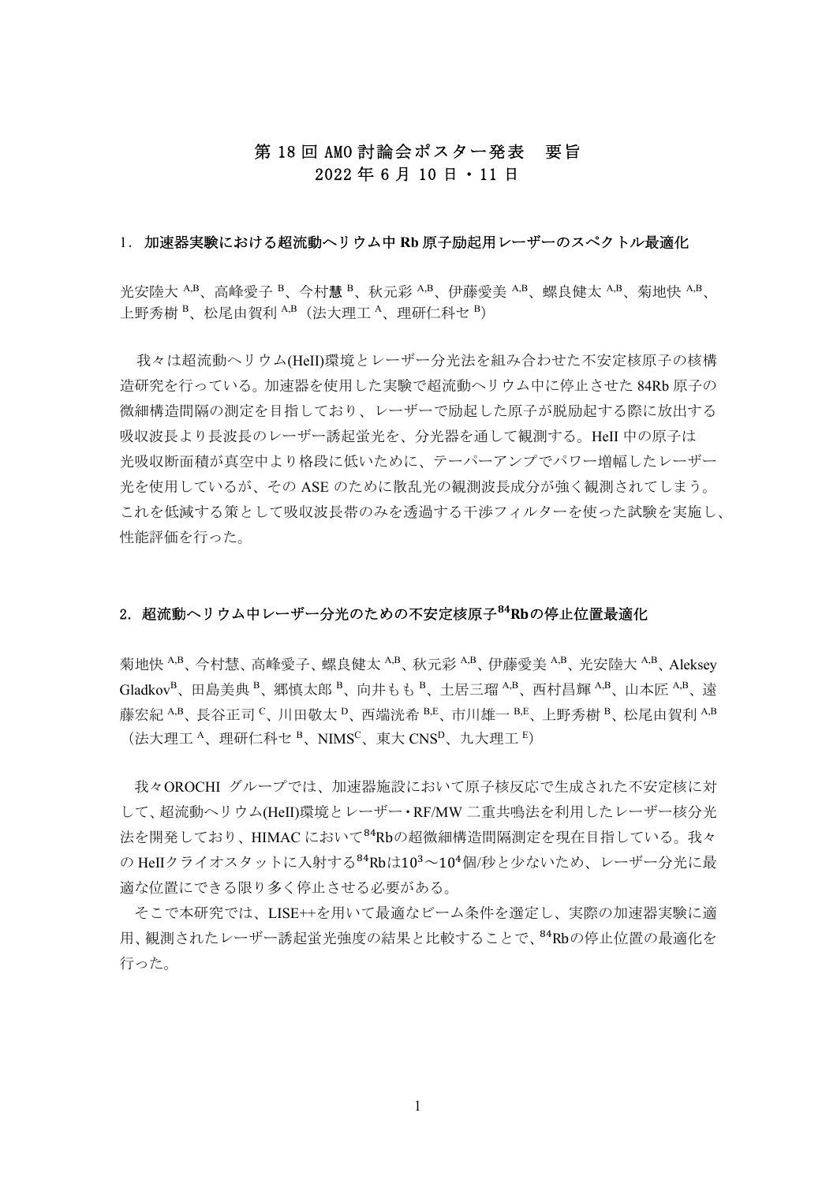# 第 18 回 AMO 討論会ポスター発表 要旨 2022 年 6 月 10 日・11 日

### 1.加速器実験における超流動ヘリウム中 **Rb** 原子励起用レーザーのスペクトル最適化

光安陸大 A,B、高峰愛子 B、今村慧 B、秋元彩 A,B、伊藤愛美 A,B、螺良健太 A,B、菊地快 A,B、 上野秀樹 B、松尾由賀利 A,B (法大理工 A、理研仁科セ B)

 我々は超流動ヘリウム(HeII)環境とレーザー分光法を組み合わせた不安定核原子の核構 造研究を行っている。加速器を使用した実験で超流動ヘリウム中に停止させた 84Rb 原子の 微細構造間隔の測定を目指しており、レーザーで励起した原子が脱励起する際に放出する 吸収波長より長波長のレーザー誘起蛍光を、分光器を通して観測する。HeII 中の原子は 光吸収断面積が真空中より格段に低いために、テーパーアンプでパワー増幅したレーザー 光を使用しているが、その ASE のために散乱光の観測波長成分が強く観測されてしまう。 これを低減する策として吸収波長帯のみを透過する干渉フィルターを使った試験を実施し、 性能評価を行った。

# 2. 超流動ヘリウム中レーザー分光のための不安定核原子<sup>84</sup>Rbの停止位置最適化

菊地快 A,B、今村慧、高峰愛子、螺良健太 A,B、秋元彩 A,B、伊藤愛美 A,B、光安陸大 A,B、Aleksey GladkovB、田島美典 <sup>B</sup>、郷慎太郎 <sup>B</sup>、向井もも <sup>B</sup>、土居三瑠 A,B、西村昌輝 A,B、山本匠 A,B、遠 藤宏紀 A,B、長谷正司 C、川田敬太 D、西端洸希 B,E、市川雄一 B,E、上野秀樹 B、松尾由賀利 A,B  $(\n *l*$ 大理工  $A$ 、理研仁科セ  $B$ 、NIMS<sup>C</sup>、東大 CNS $D$ 、九大理工  $E$ )

 我々OROCHI グループでは、加速器施設において原子核反応で生成された不安定核に対 して、超流動ヘリウム(HeⅡ)環境とレーザー・RF/MW 二重共鳴法を利用したレーザー核分光 法を開発しており、HIMAC において<sup>84</sup>Rbの超微細構造間隔測定を現在目指している。我々 の HeIIクライオスタットに入射する<sup>84</sup>Rbは10<sup>3</sup>~10<sup>4</sup>個/秒と少ないため、レーザー分光に最 適な位置にできる限り多く停止させる必要がある。

 そこで本研究では、LISE++を用いて最適なビーム条件を選定し、実際の加速器実験に適 用、観測されたレーザー誘起蛍光強度の結果と比較することで、<sup>84</sup>Rbの停止位置の最適化を 行った。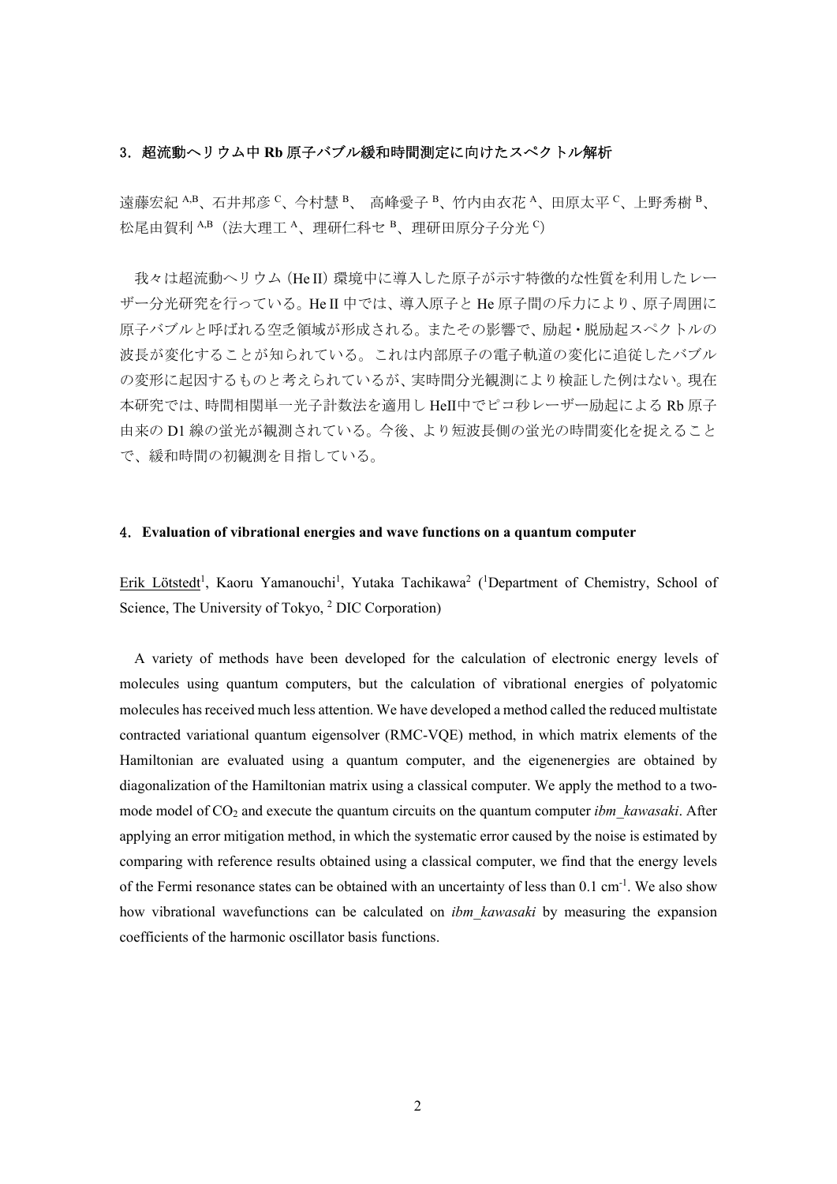# 3.超流動ヘリウム中 **Rb** 原子バブル緩和時間測定に向けたスペクトル解析

遠藤宏紀 A,B、石井邦彦 C、今村慧 B、 高峰愛子 B、竹内由衣花 A、田原太平 C、上野秀樹 B、 松尾由賀利 A,B (法大理工 A、理研仁科セ B、理研田原分子分光 C)

我々は超流動へリウム (He II) 環境中に導入した原子が示す特徴的な性質を利用したレー ザー分光研究を行っている。He II 中では、導入原子と He 原子間の斥力により、原子周囲に 原子バブルと呼ばれる空乏領域が形成される。またその影響で、励起・脱励起スペクトルの 波長が変化することが知られている。これは内部原子の電子軌道の変化に追従したバブル の変形に起因するものと考えられているが、実時間分光観測により検証した例はない。現在 本研究では、時間相関単一光子計数法を適用し HeⅡ中でピコ秒レーザー励起による Rb 原子 由来の D1 線の蛍光が観測されている。今後、より短波長側の蛍光の時間変化を捉えること で、緩和時間の初観測を目指している。

## 4.**Evaluation of vibrational energies and wave functions on a quantum computer**

Erik Lötstedt<sup>1</sup>, Kaoru Yamanouchi<sup>1</sup>, Yutaka Tachikawa<sup>2</sup> (<sup>1</sup>Department of Chemistry, School of Science, The University of Tokyo, <sup>2</sup> DIC Corporation)

 A variety of methods have been developed for the calculation of electronic energy levels of molecules using quantum computers, but the calculation of vibrational energies of polyatomic molecules has received much less attention. We have developed a method called the reduced multistate contracted variational quantum eigensolver (RMC-VQE) method, in which matrix elements of the Hamiltonian are evaluated using a quantum computer, and the eigenenergies are obtained by diagonalization of the Hamiltonian matrix using a classical computer. We apply the method to a twomode model of CO<sub>2</sub> and execute the quantum circuits on the quantum computer *ibm* kawasaki. After applying an error mitigation method, in which the systematic error caused by the noise is estimated by comparing with reference results obtained using a classical computer, we find that the energy levels of the Fermi resonance states can be obtained with an uncertainty of less than 0.1 cm<sup>-1</sup>. We also show how vibrational wavefunctions can be calculated on *ibm\_kawasaki* by measuring the expansion coefficients of the harmonic oscillator basis functions.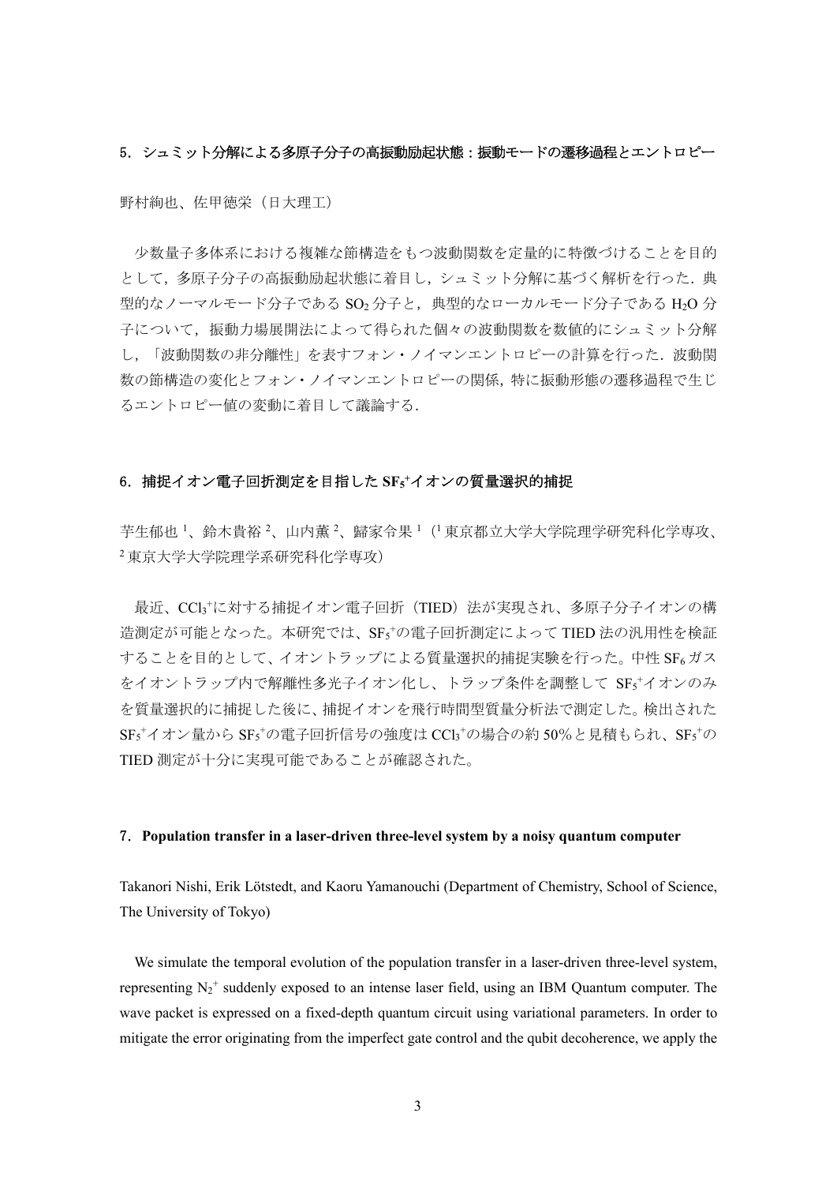### 5. シュミット分解による多原子分子の高振動励起状熊:振動モードの遷移過程とエントロピー

野村絢也、佐甲徳栄(日大理工)

 少数量子多体系における複雑な節構造をもつ波動関数を定量的に特徴づけることを目的 として、多原子分子の高振動励起状態に着目し、シュミット分解に基づく解析を行った.典 型的なノーマルモード分子である SO<sub>2</sub> 分子と、典型的なローカルモード分子である H2O 分 子について,振動力場展開法によって得られた個々の波動関数を数値的にシュミット分解 し、「波動関数の非分離性」を表すフォン・ノイマンエントロピーの計算を行った. 波動関 数の節構造の変化とフォン・ノイマンエントロピーの関係,特に振動形態の遷移過程で生じ るエントロピー値の変動に着目して議論する.

## 6.捕捉イオン電子回折測定を目指した **SF5 <sup>+</sup>**イオンの質量選択的捕捉

芋生郁也 '、鈴木貴裕 '、山内薫 '、歸家令果 '(' 東京都立大学大学院理学研究科化学専攻、 <sup>2</sup> 東京大学大学院理学系研究科化学専攻)

 最近、CCl3 + に対する捕捉イオン電子回折(TIED)法が実現され、多原子分子イオンの構 造測定が可能となった。本研究では、SF5+の電子回折測定によって TIED 法の汎用性を検証 することを目的として、イオントラップによる質量選択的捕捉実験を行った。中性 SF6 ガス をイオントラップ内で解離性多光子イオン化し、トラップ条件を調整して SF5+イオンのみ を質量選択的に捕捉した後に、捕捉イオンを飛行時間型質量分析法で測定した。検出された  $\text{SF}_5$ <sup>+</sup> $\gamma$  才ン量から  $\text{SF}_5$ +の電子回折信号の強度は  $\text{CCl}_3$ +の場合の約 50%と見積もられ、 $\text{SF}_5$ +の TIED 測定が十分に実現可能であることが確認された。

### 7.**Population transfer in a laser-driven three-level system by a noisy quantum computer**

Takanori Nishi, Erik Lötstedt, and Kaoru Yamanouchi (Department of Chemistry, School of Science, The University of Tokyo)

We simulate the temporal evolution of the population transfer in a laser-driven three-level system, representing  $N_2^+$  suddenly exposed to an intense laser field, using an IBM Quantum computer. The wave packet is expressed on a fixed-depth quantum circuit using variational parameters. In order to mitigate the error originating from the imperfect gate control and the qubit decoherence, we apply the